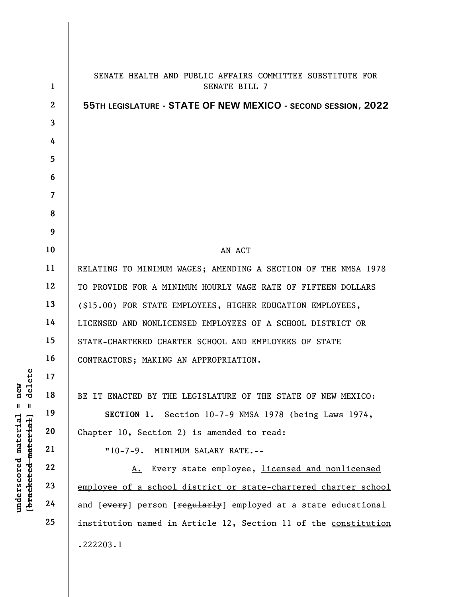|                                                | $\mathbf{1}$   | SENATE HEALTH AND PUBLIC AFFAIRS COMMITTEE SUBSTITUTE FOR<br>SENATE BILL 7 |
|------------------------------------------------|----------------|----------------------------------------------------------------------------|
|                                                | $\mathbf{2}$   | 55TH LEGISLATURE - STATE OF NEW MEXICO - SECOND SESSION, 2022              |
|                                                | $\overline{3}$ |                                                                            |
|                                                | 4              |                                                                            |
|                                                | 5              |                                                                            |
|                                                | 6              |                                                                            |
|                                                | $\overline{7}$ |                                                                            |
|                                                | 8              |                                                                            |
|                                                | 9              |                                                                            |
|                                                | 10             | AN ACT                                                                     |
|                                                | 11             | RELATING TO MINIMUM WAGES; AMENDING A SECTION OF THE NMSA 1978             |
|                                                | 12             | TO PROVIDE FOR A MINIMUM HOURLY WAGE RATE OF FIFTEEN DOLLARS               |
|                                                | 13             | (\$15.00) FOR STATE EMPLOYEES, HIGHER EDUCATION EMPLOYEES,                 |
|                                                | 14             | LICENSED AND NONLICENSED EMPLOYEES OF A SCHOOL DISTRICT OR                 |
|                                                | 15             | STATE-CHARTERED CHARTER SCHOOL AND EMPLOYEES OF STATE                      |
|                                                | 16             | CONTRACTORS; MAKING AN APPROPRIATION.                                      |
| elete<br>ā<br>$\mathbf{a}$<br>ರ                | 17             |                                                                            |
|                                                | 18             | BE IT ENACTED BY THE LEGISLATURE OF THE STATE OF NEW MEXICO:               |
| Ш                                              | 19             | Section 10-7-9 NMSA 1978 (being Laws 1974,<br>SECTION 1.                   |
| material                                       | 20             | Chapter 10, Section 2) is amended to read:                                 |
|                                                | 21             | MINIMUM SALARY RATE.--<br>$"10-7-9.$                                       |
|                                                | 22             | Every state employee, licensed and nonlicensed<br>А.                       |
|                                                | 23             | employee of a school district or state-chartered charter school            |
| [bracketed material<br>$\bm{{\rm underscore}}$ | 24             | and [every] person [regularly] employed at a state educational             |
|                                                | 25             | institution named in Article 12, Section 11 of the constitution            |
|                                                |                | .222203.1                                                                  |
|                                                |                |                                                                            |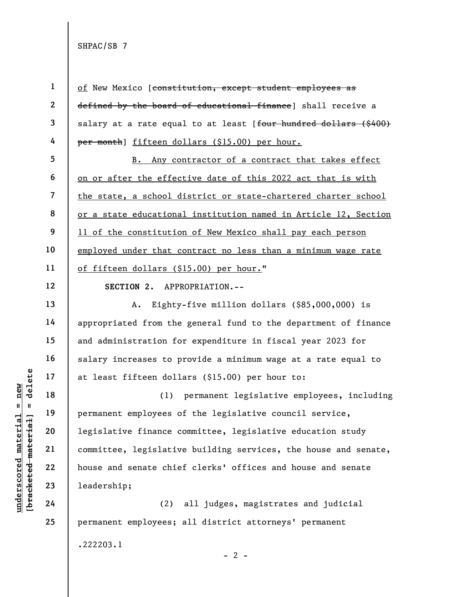SHPAC/SB 7

of New Mexico [constitution, except student employees as defined by the board of educational finance] shall receive a salary at a rate equal to at least [four hundred dollars (\$400) per month] fifteen dollars (\$15.00) per hour.

5 6 7 8 9 10 11 B. Any contractor of a contract that takes effect on or after the effective date of this 2022 act that is with the state, a school district or state-chartered charter school or a state educational institution named in Article 12, Section 11 of the constitution of New Mexico shall pay each person employed under that contract no less than a minimum wage rate of fifteen dollars (\$15.00) per hour."

12

13

14

15

16

17

18

19

20

21

22

23

24

25

1

2

3

4

SECTION 2. APPROPRIATION.--

A. Eighty-five million dollars (\$85,000,000) is appropriated from the general fund to the department of finance and administration for expenditure in fiscal year 2023 for salary increases to provide a minimum wage at a rate equal to at least fifteen dollars (\$15.00) per hour to:

underscored material extend to the definition of the set of the set of the set of the set of the set of the set of the set of the set of the set of the set of the set of the set of the set of the set of the set of the set (1) permanent legislative employees, including permanent employees of the legislative council service, legislative finance committee, legislative education study committee, legislative building services, the house and senate, house and senate chief clerks' offices and house and senate leadership;

(2) all judges, magistrates and judicial permanent employees; all district attorneys' permanent .222203.1

 $- 2 -$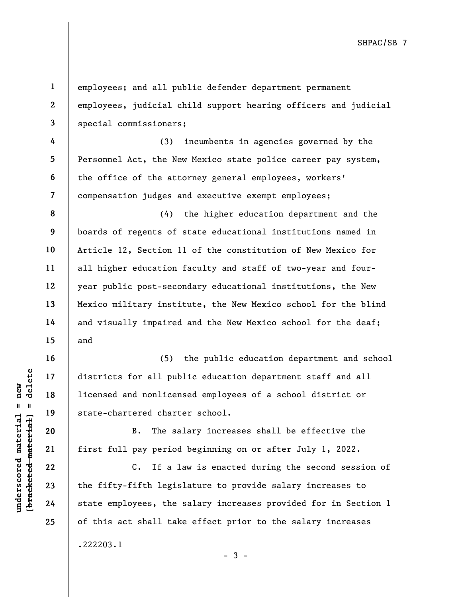SHPAC/SB 7

underscored material = new [bracketed material] = delete 1 2 3 4 5 6 7 8 9 10 11 12 13 14 15 16 17 18 19 20 21 22 23 24 25 employees; and all public defender department permanent employees, judicial child support hearing officers and judicial special commissioners; (3) incumbents in agencies governed by the Personnel Act, the New Mexico state police career pay system, the office of the attorney general employees, workers' compensation judges and executive exempt employees; (4) the higher education department and the boards of regents of state educational institutions named in Article 12, Section 11 of the constitution of New Mexico for all higher education faculty and staff of two-year and fouryear public post-secondary educational institutions, the New Mexico military institute, the New Mexico school for the blind and visually impaired and the New Mexico school for the deaf; and (5) the public education department and school districts for all public education department staff and all licensed and nonlicensed employees of a school district or state-chartered charter school. B. The salary increases shall be effective the first full pay period beginning on or after July 1, 2022. C. If a law is enacted during the second session of the fifty-fifth legislature to provide salary increases to state employees, the salary increases provided for in Section 1 of this act shall take effect prior to the salary increases .222203.1  $-3 -$